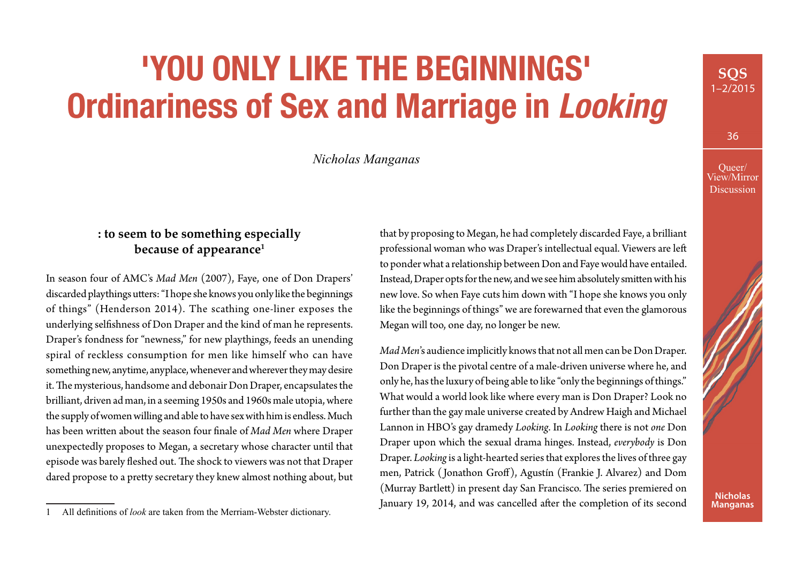# **'YOU ONLY LIKE THE BEGINNINGS' Ordinariness of Sex and Marriage in** *Looking*

*Nicholas Manganas*

# **: to seem to be something especially because of appearance1**

In season four of AMC's *Mad Men* (2007), Faye, one of Don Drapers' discarded playthings utters: "I hope she knows you only like the beginnings of things" (Henderson 2014). The scathing one-liner exposes the underlying selfishness of Don Draper and the kind of man he represents. Draper's fondness for "newness," for new playthings, feeds an unending spiral of reckless consumption for men like himself who can have something new, anytime, anyplace, whenever and wherever they may desire it. The mysterious, handsome and debonair Don Draper, encapsulates the brilliant, driven ad man, in a seeming 1950s and 1960s male utopia, where the supply of women willing and able to have sex with him is endless. Much has been written about the season four finale of *Mad Men* where Draper unexpectedly proposes to Megan, a secretary whose character until that episode was barely fleshed out. The shock to viewers was not that Draper dared propose to a pretty secretary they knew almost nothing about, but

that by proposing to Megan, he had completely discarded Faye, a brilliant professional woman who was Draper's intellectual equal. Viewers are left to ponder what a relationship between Don and Faye would have entailed. Instead, Draper opts for the new, and we see him absolutely smitten with his new love. So when Faye cuts him down with "I hope she knows you only like the beginnings of things" we are forewarned that even the glamorous Megan will too, one day, no longer be new.

*Mad Men*'s audience implicitly knows that not all men can be Don Draper. Don Draper is the pivotal centre of a male-driven universe where he, and only he, has the luxury of being able to like "only the beginnings of things." What would a world look like where every man is Don Draper? Look no further than the gay male universe created by Andrew Haigh and Michael Lannon in HBO's gay dramedy *Looking*. In *Looking* there is not *one* Don Draper upon which the sexual drama hinges. Instead, *everybody* is Don Draper. *Looking* is a light-hearted series that explores the lives of three gay men, Patrick ( Jonathon Groff), Agustín (Frankie J. Alvarez) and Dom (Murray Bartlett) in present day San Francisco. The series premiered on January 19, 2014, and was cancelled after the completion of its second

**SQS** 1–2/2015



All definitions of *look* are taken from the Merriam-Webster dictionary.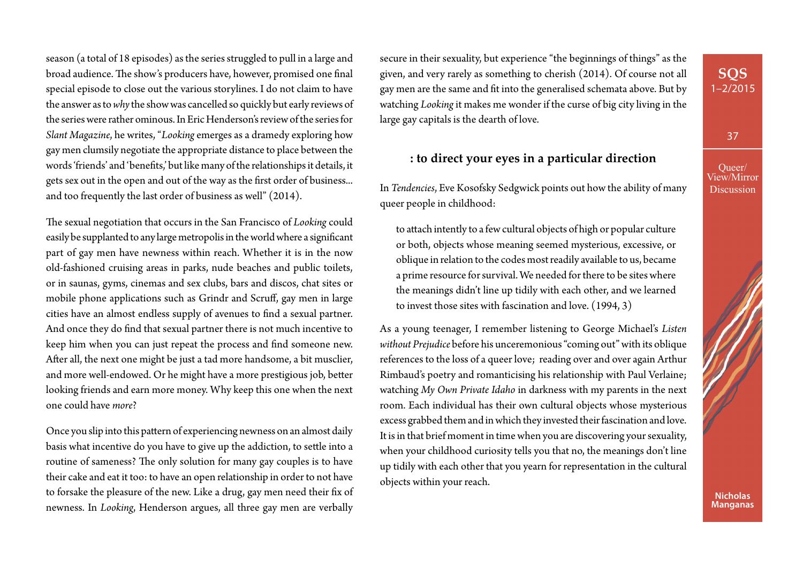season (a total of 18 episodes) as the series struggled to pull in a large and broad audience. The show's producers have, however, promised one final special episode to close out the various storylines. I do not claim to have the answer as to *why* the show was cancelled so quickly but early reviews of the series were rather ominous. In Eric Henderson's review of the series for *Slant Magazine*, he writes, "*Looking* emerges as a dramedy exploring how gay men clumsily negotiate the appropriate distance to place between the words 'friends' and 'benefits,' but like many of the relationships it details, it gets sex out in the open and out of the way as the first order of business... and too frequently the last order of business as well" (2014).

The sexual negotiation that occurs in the San Francisco of *Looking* could easily be supplanted to any large metropolis in the world where a significant part of gay men have newness within reach. Whether it is in the now old-fashioned cruising areas in parks, nude beaches and public toilets, or in saunas, gyms, cinemas and sex clubs, bars and discos, chat sites or mobile phone applications such as Grindr and Scruff, gay men in large cities have an almost endless supply of avenues to find a sexual partner. And once they do find that sexual partner there is not much incentive to keep him when you can just repeat the process and find someone new. After all, the next one might be just a tad more handsome, a bit musclier, and more well-endowed. Or he might have a more prestigious job, better looking friends and earn more money. Why keep this one when the next one could have *more*?

Once you slip into this pattern of experiencing newness on an almost daily basis what incentive do you have to give up the addiction, to settle into a routine of sameness? The only solution for many gay couples is to have their cake and eat it too: to have an open relationship in order to not have to forsake the pleasure of the new. Like a drug, gay men need their fix of newness. In *Looking*, Henderson argues, all three gay men are verbally

secure in their sexuality, but experience "the beginnings of things" as the given, and very rarely as something to cherish (2014). Of course not all gay men are the same and fit into the generalised schemata above. But by watching *Looking* it makes me wonder if the curse of big city living in the large gay capitals is the dearth of love.

# **: to direct your eyes in a particular direction**

Queer/ View/Mirror **Discussion** 

37

**SQS** 1–2/2015

In *Tendencies*, Eve Kosofsky Sedgwick points out how the ability of many queer people in childhood:

to attach intently to a few cultural objects of high or popular culture or both, objects whose meaning seemed mysterious, excessive, or oblique in relation to the codes most readily available to us, became a prime resource for survival. We needed for there to be sites where the meanings didn't line up tidily with each other, and we learned to invest those sites with fascination and love. (1994, 3)

As a young teenager, I remember listening to George Michael's *Listen without Prejudice* before his unceremonious "coming out" with its oblique references to the loss of a queer love; reading over and over again Arthur Rimbaud's poetry and romanticising his relationship with Paul Verlaine; watching *My Own Private Idaho* in darkness with my parents in the next room. Each individual has their own cultural objects whose mysterious excess grabbed them and in which they invested their fascination and love. It is in that brief moment in time when you are discovering your sexuality, when your childhood curiosity tells you that no, the meanings don't line up tidily with each other that you yearn for representation in the cultural objects within your reach.

> **Nicholas Manganas**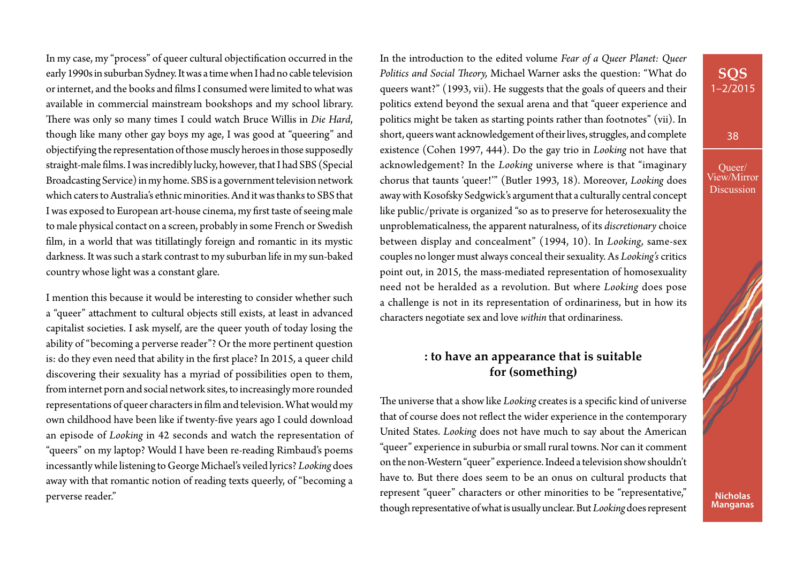In my case, my "process" of queer cultural objectification occurred in the early 1990s in suburban Sydney. It was a time when I had no cable television or internet, and the books and films I consumed were limited to what was available in commercial mainstream bookshops and my school library. There was only so many times I could watch Bruce Willis in *Die Hard*, though like many other gay boys my age, I was good at "queering" and objectifying the representation of those muscly heroes in those supposedly straight-male films. I was incredibly lucky, however, that I had SBS (Special Broadcasting Service) in my home. SBS is a government television network which caters to Australia's ethnic minorities. And it was thanks to SBS that I was exposed to European art-house cinema, my first taste of seeing male to male physical contact on a screen, probably in some French or Swedish film, in a world that was titillatingly foreign and romantic in its mystic darkness. It was such a stark contrast to my suburban life in my sun-baked country whose light was a constant glare.

I mention this because it would be interesting to consider whether such a "queer" attachment to cultural objects still exists, at least in advanced capitalist societies. I ask myself, are the queer youth of today losing the ability of "becoming a perverse reader"? Or the more pertinent question is: do they even need that ability in the first place? In 2015, a queer child discovering their sexuality has a myriad of possibilities open to them, from internet porn and social network sites, to increasingly more rounded representations of queer characters in film and television. What would my own childhood have been like if twenty-five years ago I could download an episode of *Looking* in 42 seconds and watch the representation of "queers" on my laptop? Would I have been re-reading Rimbaud's poems incessantly while listening to George Michael's veiled lyrics? *Looking* does away with that romantic notion of reading texts queerly, of "becoming a perverse reader."

In the introduction to the edited volume *Fear of a Queer Planet: Queer Politics and Social Theory,* Michael Warner asks the question: "What do queers want?" (1993, vii). He suggests that the goals of queers and their politics extend beyond the sexual arena and that "queer experience and politics might be taken as starting points rather than footnotes" (vii). In short, queers want acknowledgement of their lives, struggles, and complete existence (Cohen 1997, 444). Do the gay trio in *Looking* not have that acknowledgement? In the *Looking* universe where is that "imaginary chorus that taunts 'queer!'" (Butler 1993, 18). Moreover, *Looking* does away with Kosofsky Sedgwick's argument that a culturally central concept like public/private is organized "so as to preserve for heterosexuality the unproblematicalness, the apparent naturalness, of its *discretionary* choice between display and concealment" (1994, 10). In *Looking*, same-sex couples no longer must always conceal their sexuality. As *Looking's* critics point out, in 2015, the mass-mediated representation of homosexuality need not be heralded as a revolution. But where *Looking* does pose a challenge is not in its representation of ordinariness, but in how its characters negotiate sex and love *within* that ordinariness.

### **: to have an appearance that is suitable for (something)**

The universe that a show like *Looking* creates is a specific kind of universe that of course does not reflect the wider experience in the contemporary United States. *Looking* does not have much to say about the American "queer" experience in suburbia or small rural towns. Nor can it comment on the non-Western "queer" experience. Indeed a television show shouldn't have to. But there does seem to be an onus on cultural products that represent "queer" characters or other minorities to be "representative," though representative of what is usually unclear. But *Looking* does represent

# **SQS** 1–2/2015

38

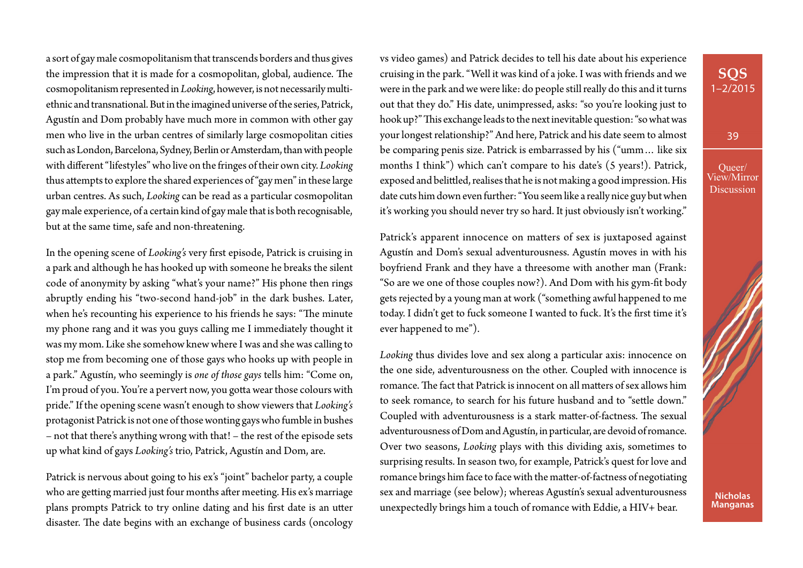a sort of gay male cosmopolitanism that transcends borders and thus gives the impression that it is made for a cosmopolitan, global, audience. The cosmopolitanism represented in *Looking*, however, is not necessarily multiethnic and transnational. But in the imagined universe of the series, Patrick, Agustín and Dom probably have much more in common with other gay men who live in the urban centres of similarly large cosmopolitan cities such as London, Barcelona, Sydney, Berlin or Amsterdam, than with people with different "lifestyles" who live on the fringes of their own city. *Looking* thus attempts to explore the shared experiences of "gay men" in these large urban centres. As such, *Looking* can be read as a particular cosmopolitan gay male experience, of a certain kind of gay male that is both recognisable, but at the same time, safe and non-threatening.

In the opening scene of *Looking's* very first episode, Patrick is cruising in a park and although he has hooked up with someone he breaks the silent code of anonymity by asking "what's your name?" His phone then rings abruptly ending his "two-second hand-job" in the dark bushes. Later, when he's recounting his experience to his friends he says: "The minute my phone rang and it was you guys calling me I immediately thought it was my mom. Like she somehow knew where I was and she was calling to stop me from becoming one of those gays who hooks up with people in a park." Agustín, who seemingly is *one of those gays* tells him: "Come on, I'm proud of you. You're a pervert now, you gotta wear those colours with pride." If the opening scene wasn't enough to show viewers that *Looking's* protagonist Patrick is not one of those wonting gays who fumble in bushes – not that there's anything wrong with that! – the rest of the episode sets up what kind of gays *Looking's* trio, Patrick, Agustín and Dom, are.

Patrick is nervous about going to his ex's "joint" bachelor party, a couple who are getting married just four months after meeting. His ex's marriage plans prompts Patrick to try online dating and his first date is an utter disaster. The date begins with an exchange of business cards (oncology

vs video games) and Patrick decides to tell his date about his experience cruising in the park. "Well it was kind of a joke. I was with friends and we were in the park and we were like: do people still really do this and it turns out that they do." His date, unimpressed, asks: "so you're looking just to hook up?" This exchange leads to the next inevitable question: "so what was your longest relationship?" And here, Patrick and his date seem to almost be comparing penis size. Patrick is embarrassed by his ("umm… like six months I think") which can't compare to his date's (5 years!). Patrick, exposed and belittled, realises that he is not making a good impression. His date cuts him down even further: "You seem like a really nice guy but when it's working you should never try so hard. It just obviously isn't working."

Patrick's apparent innocence on matters of sex is juxtaposed against Agustín and Dom's sexual adventurousness. Agustín moves in with his boyfriend Frank and they have a threesome with another man (Frank: "So are we one of those couples now?). And Dom with his gym-fit body gets rejected by a young man at work ("something awful happened to me today. I didn't get to fuck someone I wanted to fuck. It's the first time it's ever happened to me").

*Looking* thus divides love and sex along a particular axis: innocence on the one side, adventurousness on the other. Coupled with innocence is romance. The fact that Patrick is innocent on all matters of sex allows him to seek romance, to search for his future husband and to "settle down." Coupled with adventurousness is a stark matter-of-factness. The sexual adventurousness of Dom and Agustín, in particular, are devoid of romance. Over two seasons, *Looking* plays with this dividing axis, sometimes to surprising results. In season two, for example, Patrick's quest for love and romance brings him face to face with the matter-of-factness of negotiating sex and marriage (see below); whereas Agustín's sexual adventurousness unexpectedly brings him a touch of romance with Eddie, a HIV+ bear.

39

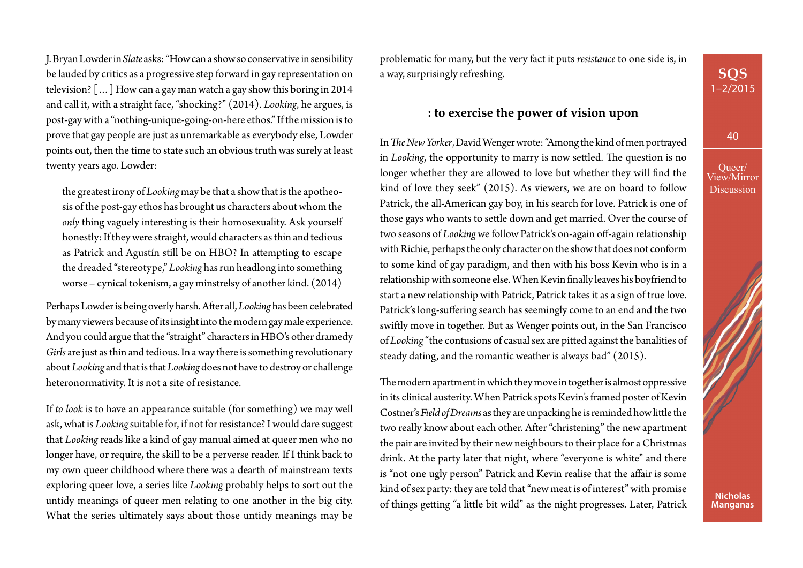J. Bryan Lowder in *Slate* asks: "How can a show so conservative in sensibility be lauded by critics as a progressive step forward in gay representation on television? […] How can a gay man watch a gay show this boring in 2014 and call it, with a straight face, "shocking?" (2014). *Looking*, he argues, is post-gay with a "nothing-unique-going-on-here ethos." If the mission is to prove that gay people are just as unremarkable as everybody else, Lowder points out, then the time to state such an obvious truth was surely at least twenty years ago. Lowder:

the greatest irony of *Looking* may be that a show that is the apotheosis of the post-gay ethos has brought us characters about whom the *only* thing vaguely interesting is their homosexuality. Ask yourself honestly: If they were straight, would characters as thin and tedious as Patrick and Agustín still be on HBO? In attempting to escape the dreaded "stereotype," *Looking* has run headlong into something worse – cynical tokenism, a gay minstrelsy of another kind. (2014)

Perhaps Lowder is being overly harsh. After all, *Looking* has been celebrated by many viewers because of its insight into the modern gay male experience. And you could argue that the "straight" characters in HBO's other dramedy *Girls* are just as thin and tedious. In a way there is something revolutionary about *Looking* and that is that *Looking* does not have to destroy or challenge heteronormativity. It is not a site of resistance.

If *to look* is to have an appearance suitable (for something) we may well ask, what is *Looking* suitable for, if not for resistance? I would dare suggest that *Looking* reads like a kind of gay manual aimed at queer men who no longer have, or require, the skill to be a perverse reader. If I think back to my own queer childhood where there was a dearth of mainstream texts exploring queer love, a series like *Looking* probably helps to sort out the untidy meanings of queer men relating to one another in the big city. What the series ultimately says about those untidy meanings may be

problematic for many, but the very fact it puts *resistance* to one side is, in a way, surprisingly refreshing.

#### **: to exercise the power of vision upon**

In *The New Yorker*, David Wenger wrote: "Among the kind of men portrayed in *Looking*, the opportunity to marry is now settled. The question is no longer whether they are allowed to love but whether they will find the kind of love they seek" (2015). As viewers, we are on board to follow Patrick, the all-American gay boy, in his search for love. Patrick is one of those gays who wants to settle down and get married. Over the course of two seasons of *Looking* we follow Patrick's on-again off-again relationship with Richie, perhaps the only character on the show that does not conform to some kind of gay paradigm, and then with his boss Kevin who is in a relationship with someone else. When Kevin finally leaves his boyfriend to start a new relationship with Patrick, Patrick takes it as a sign of true love. Patrick's long-suffering search has seemingly come to an end and the two swiftly move in together. But as Wenger points out, in the San Francisco of *Looking* "the contusions of casual sex are pitted against the banalities of steady dating, and the romantic weather is always bad" (2015).

The modern apartment in which they move in together is almost oppressive in its clinical austerity. When Patrick spots Kevin's framed poster of Kevin Costner's *Field of Dreams* as they are unpacking he is reminded how little the two really know about each other. After "christening" the new apartment the pair are invited by their new neighbours to their place for a Christmas drink. At the party later that night, where "everyone is white" and there is "not one ugly person" Patrick and Kevin realise that the affair is some kind of sex party: they are told that "new meat is of interest" with promise of things getting "a little bit wild" as the night progresses. Later, Patrick 40

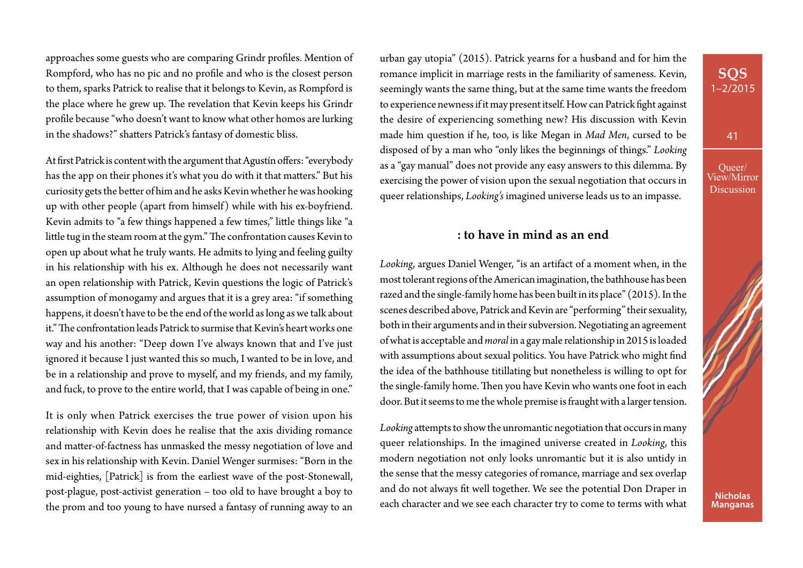approaches some guests who are comparing Grindr profiles. Mention of Rompford, who has no pic and no profile and who is the closest person to them, sparks Patrick to realise that it belongs to Kevin, as Rompford is the place where he grew up. The revelation that Kevin keeps his Grindr profile because "who doesn't want to know what other homos are lurking in the shadows?" shatters Patrick's fantasy of domestic bliss.

At first Patrick is content with the argument that Agustín offers: "everybody has the app on their phones it's what you do with it that matters." But his curiosity gets the better of him and he asks Kevin whether he was hooking up with other people (apart from himself) while with his ex-boyfriend. Kevin admits to "a few things happened a few times," little things like "a little tug in the steam room at the gym." The confrontation causes Kevin to open up about what he truly wants. He admits to lying and feeling guilty in his relationship with his ex. Although he does not necessarily want an open relationship with Patrick, Kevin questions the logic of Patrick's assumption of monogamy and argues that it is a grey area: "if something happens, it doesn't have to be the end of the world as long as we talk about it." The confrontation leads Patrick to surmise that Kevin's heart works one way and his another: "Deep down I've always known that and I've just ignored it because I just wanted this so much, I wanted to be in love, and be in a relationship and prove to myself, and my friends, and my family, and fuck, to prove to the entire world, that I was capable of being in one."

It is only when Patrick exercises the true power of vision upon his relationship with Kevin does he realise that the axis dividing romance and matter-of-factness has unmasked the messy negotiation of love and sex in his relationship with Kevin. Daniel Wenger surmises: "Born in the mid-eighties, [Patrick] is from the earliest wave of the post-Stonewall, post-plague, post-activist generation – too old to have brought a boy to the prom and too young to have nursed a fantasy of running away to an urban gay utopia" (2015). Patrick yearns for a husband and for him the romance implicit in marriage rests in the familiarity of sameness. Kevin, seemingly wants the same thing, but at the same time wants the freedom to experience newness if it may present itself. How can Patrick fight against the desire of experiencing something new? His discussion with Kevin made him question if he, too, is like Megan in *Mad Men*, cursed to be disposed of by a man who "only likes the beginnings of things." *Looking*  as a "gay manual" does not provide any easy answers to this dilemma. By exercising the power of vision upon the sexual negotiation that occurs in queer relationships, *Looking's* imagined universe leads us to an impasse.

# **: to have in mind as an end**

*Looking*, argues Daniel Wenger, "is an artifact of a moment when, in the most tolerant regions of the American imagination, the bathhouse has been razed and the single-family home has been built in its place" (2015). In the scenes described above, Patrick and Kevin are "performing" their sexuality, both in their arguments and in their subversion. Negotiating an agreement of what is acceptable and *moral* in a gay male relationship in 2015 is loaded with assumptions about sexual politics. You have Patrick who might find the idea of the bathhouse titillating but nonetheless is willing to opt for the single-family home. Then you have Kevin who wants one foot in each door. But it seems to me the whole premise is fraught with a larger tension.

*Looking* attempts to show the unromantic negotiation that occurs in many queer relationships. In the imagined universe created in *Looking*, this modern negotiation not only looks unromantic but it is also untidy in the sense that the messy categories of romance, marriage and sex overlap and do not always fit well together. We see the potential Don Draper in each character and we see each character try to come to terms with what

# 1–2/2015

**SQS**

41

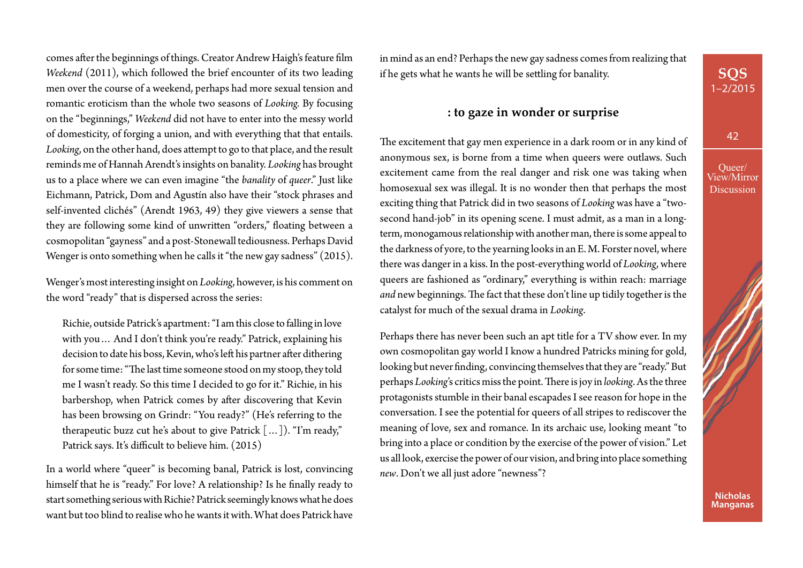comes after the beginnings of things. Creator Andrew Haigh's feature film *Weekend* (2011), which followed the brief encounter of its two leading men over the course of a weekend, perhaps had more sexual tension and romantic eroticism than the whole two seasons of *Looking.* By focusing on the "beginnings," *Weekend* did not have to enter into the messy world of domesticity, of forging a union, and with everything that that entails. *Looking*, on the other hand, does attempt to go to that place, and the result reminds me of Hannah Arendt's insights on banality. *Looking* has brought us to a place where we can even imagine "the *banality* of *queer*." Just like Eichmann, Patrick, Dom and Agustín also have their "stock phrases and self-invented clichés" (Arendt 1963, 49) they give viewers a sense that they are following some kind of unwritten "orders," floating between a cosmopolitan "gayness" and a post-Stonewall tediousness. Perhaps David Wenger is onto something when he calls it "the new gay sadness" (2015).

Wenger's most interesting insight on *Looking*, however, is his comment on the word "ready" that is dispersed across the series:

Richie, outside Patrick's apartment: "I am this close to falling in love with you… And I don't think you're ready." Patrick, explaining his decision to date his boss, Kevin, who's left his partner after dithering for some time: "The last time someone stood on my stoop, they told me I wasn't ready. So this time I decided to go for it." Richie, in his barbershop, when Patrick comes by after discovering that Kevin has been browsing on Grindr: "You ready?" (He's referring to the therapeutic buzz cut he's about to give Patrick […]). "I'm ready," Patrick says. It's difficult to believe him. (2015)

In a world where "queer" is becoming banal, Patrick is lost, convincing himself that he is "ready." For love? A relationship? Is he finally ready to start something serious with Richie? Patrick seemingly knows what he does want but too blind to realise who he wants it with. What does Patrick have in mind as an end? Perhaps the new gay sadness comes from realizing that if he gets what he wants he will be settling for banality.

#### **: to gaze in wonder or surprise**

The excitement that gay men experience in a dark room or in any kind of anonymous sex, is borne from a time when queers were outlaws. Such excitement came from the real danger and risk one was taking when homosexual sex was illegal. It is no wonder then that perhaps the most exciting thing that Patrick did in two seasons of *Looking* was have a "twosecond hand-job" in its opening scene. I must admit, as a man in a longterm, monogamous relationship with another man, there is some appeal to the darkness of yore, to the yearning looks in an E. M. Forster novel, where there was danger in a kiss. In the post-everything world of *Looking*, where queers are fashioned as "ordinary," everything is within reach: marriage *and* new beginnings. The fact that these don't line up tidily together is the catalyst for much of the sexual drama in *Looking*.

Perhaps there has never been such an apt title for a TV show ever. In my own cosmopolitan gay world I know a hundred Patricks mining for gold, looking but never finding, convincing themselves that they are "ready." But perhaps *Looking*'s critics miss the point. There is joy in *looking*. As the three protagonists stumble in their banal escapades I see reason for hope in the conversation. I see the potential for queers of all stripes to rediscover the meaning of love, sex and romance. In its archaic use, looking meant "to bring into a place or condition by the exercise of the power of vision." Let us all look, exercise the power of our vision, and bring into place something *new*. Don't we all just adore "newness"?

**SQS** 1–2/2015

42